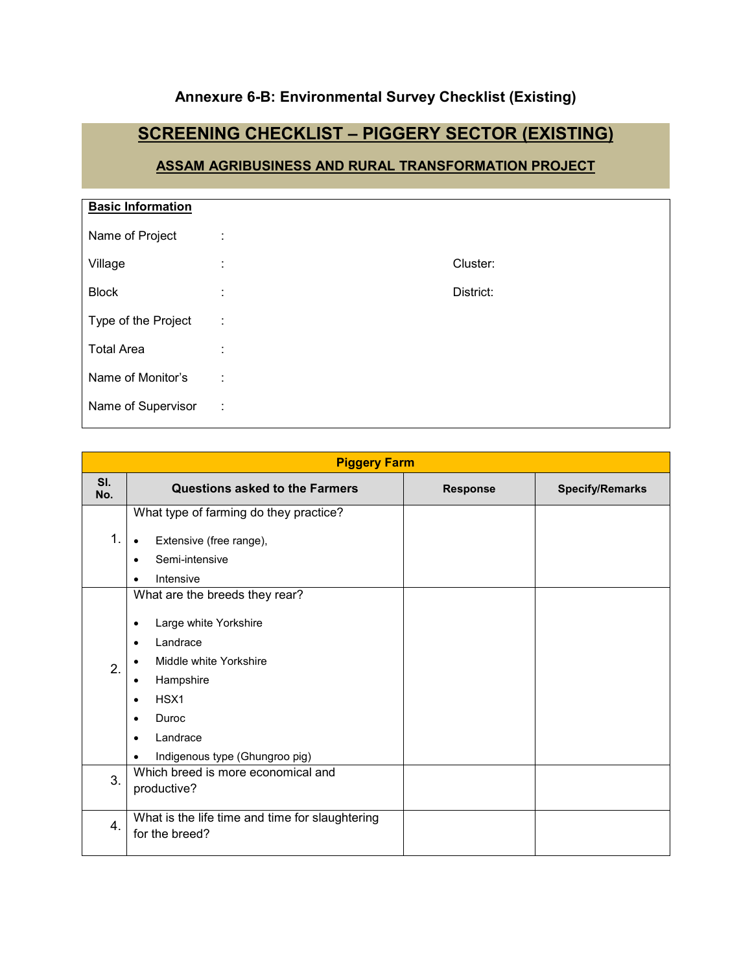### **Annexure 6-B: Environmental Survey Checklist (Existing)**

## **SCREENING CHECKLIST – PIGGERY SECTOR (EXISTING)**

### **ASSAM AGRIBUSINESS AND RURAL TRANSFORMATION PROJECT**

| <b>Basic Information</b> |                   |           |
|--------------------------|-------------------|-----------|
| Name of Project          | ÷                 |           |
| Village                  | ٠<br>$\mathbf{r}$ | Cluster:  |
| <b>Block</b>             | ٠                 | District: |
| Type of the Project      | ÷                 |           |
| <b>Total Area</b>        | ٠                 |           |
| Name of Monitor's        | ÷                 |           |
| Name of Supervisor       | ÷                 |           |

|            | <b>Piggery Farm</b>                                                                                                                                                                                                                                                           |                 |                        |
|------------|-------------------------------------------------------------------------------------------------------------------------------------------------------------------------------------------------------------------------------------------------------------------------------|-----------------|------------------------|
| SI.<br>No. | <b>Questions asked to the Farmers</b>                                                                                                                                                                                                                                         | <b>Response</b> | <b>Specify/Remarks</b> |
| 1.         | What type of farming do they practice?<br>Extensive (free range),<br>$\bullet$<br>Semi-intensive<br>$\bullet$<br>Intensive<br>$\bullet$                                                                                                                                       |                 |                        |
| 2.         | What are the breeds they rear?<br>Large white Yorkshire<br>٠<br>Landrace<br>$\bullet$<br>Middle white Yorkshire<br>٠<br>Hampshire<br>$\bullet$<br>HSX <sub>1</sub><br>$\bullet$<br>Duroc<br>$\bullet$<br>Landrace<br>$\bullet$<br>Indigenous type (Ghungroo pig)<br>$\bullet$ |                 |                        |
| 3.         | Which breed is more economical and<br>productive?                                                                                                                                                                                                                             |                 |                        |
| 4.         | What is the life time and time for slaughtering<br>for the breed?                                                                                                                                                                                                             |                 |                        |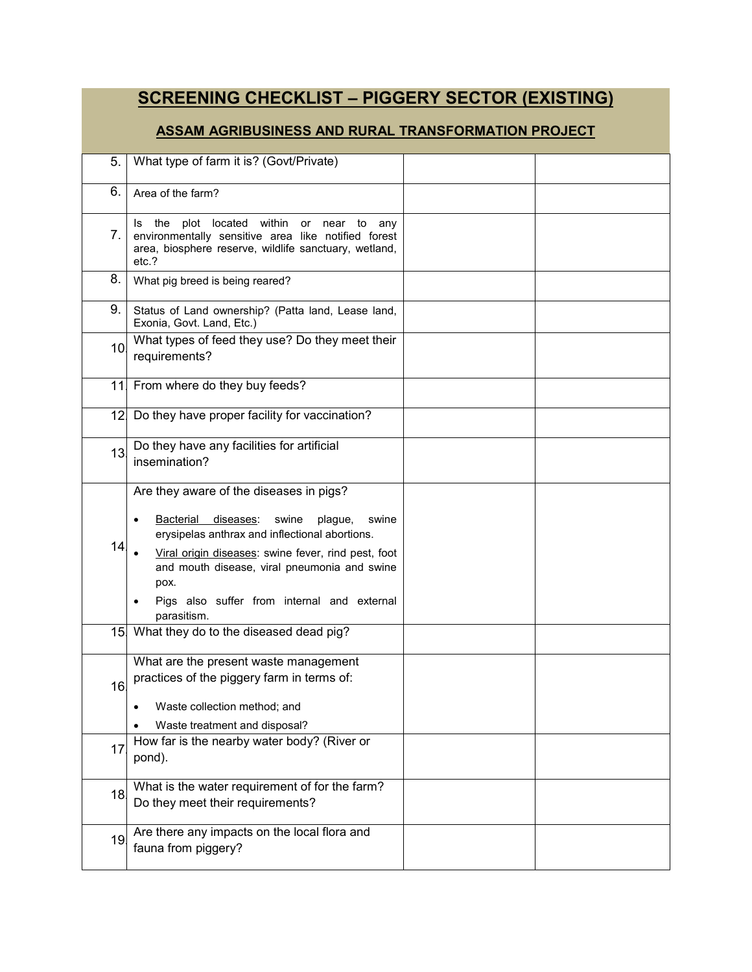# **SCREENING CHECKLIST – PIGGERY SECTOR (EXISTING)**

#### **ASSAM AGRIBUSINESS AND RURAL TRANSFORMATION PROJECT**

| 5.  | What type of farm it is? (Govt/Private)                                                                                                                                                                                                                                                                                                                        |  |
|-----|----------------------------------------------------------------------------------------------------------------------------------------------------------------------------------------------------------------------------------------------------------------------------------------------------------------------------------------------------------------|--|
| 6.  | Area of the farm?                                                                                                                                                                                                                                                                                                                                              |  |
| 7.  | the<br>plot<br>located<br>within<br>ls.<br>or<br>near<br>any<br>to<br>environmentally sensitive area like notified forest<br>area, biosphere reserve, wildlife sanctuary, wetland,<br>etc.?                                                                                                                                                                    |  |
| 8.  | What pig breed is being reared?                                                                                                                                                                                                                                                                                                                                |  |
| 9.  | Status of Land ownership? (Patta land, Lease land,<br>Exonia, Govt. Land, Etc.)                                                                                                                                                                                                                                                                                |  |
| 10. | What types of feed they use? Do they meet their<br>requirements?                                                                                                                                                                                                                                                                                               |  |
| 11  | From where do they buy feeds?                                                                                                                                                                                                                                                                                                                                  |  |
| 12. | Do they have proper facility for vaccination?                                                                                                                                                                                                                                                                                                                  |  |
| 13. | Do they have any facilities for artificial<br>insemination?                                                                                                                                                                                                                                                                                                    |  |
| 14  | Are they aware of the diseases in pigs?<br><b>Bacterial</b><br>diseases:<br>swine<br>plague,<br>swine<br>$\bullet$<br>erysipelas anthrax and inflectional abortions.<br>Viral origin diseases: swine fever, rind pest, foot<br>and mouth disease, viral pneumonia and swine<br>pox.<br>Pigs also suffer from internal and external<br>$\bullet$<br>parasitism. |  |
|     | 15 What they do to the diseased dead pig?                                                                                                                                                                                                                                                                                                                      |  |
| 16  | What are the present waste management<br>practices of the piggery farm in terms of:<br>Waste collection method; and<br>Waste treatment and disposal?                                                                                                                                                                                                           |  |
| 17  | How far is the nearby water body? (River or<br>pond).                                                                                                                                                                                                                                                                                                          |  |
| 18. | What is the water requirement of for the farm?<br>Do they meet their requirements?                                                                                                                                                                                                                                                                             |  |
| 19. | Are there any impacts on the local flora and<br>fauna from piggery?                                                                                                                                                                                                                                                                                            |  |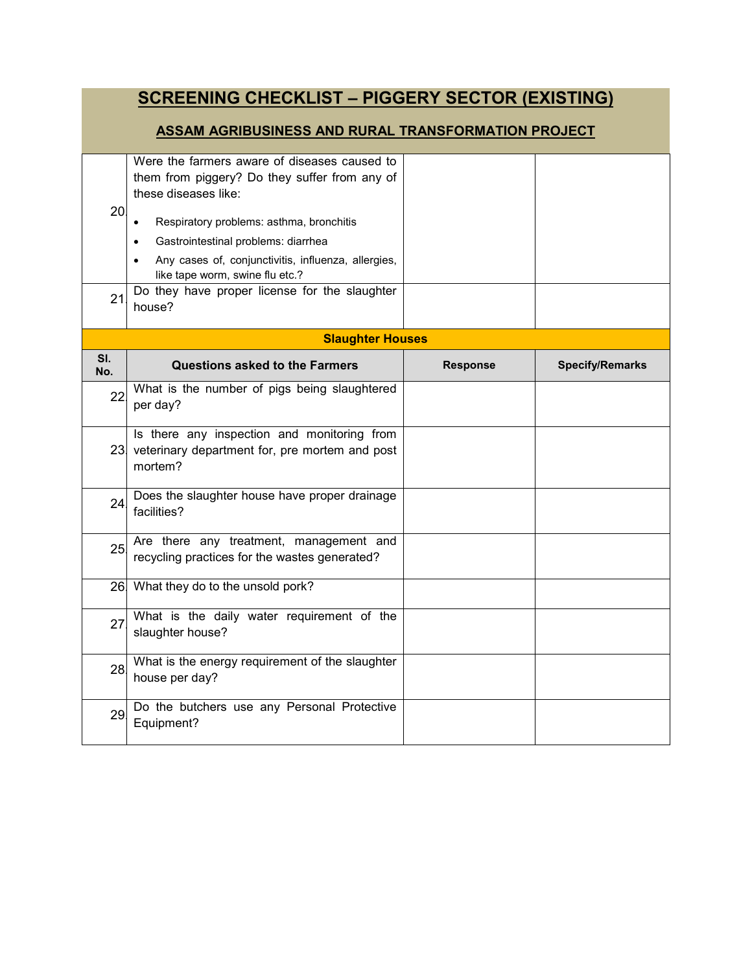# **SCREENING CHECKLIST – PIGGERY SECTOR (EXISTING)**

#### **ASSAM AGRIBUSINESS AND RURAL TRANSFORMATION PROJECT**

| 20<br>21   | Were the farmers aware of diseases caused to<br>them from piggery? Do they suffer from any of<br>these diseases like:<br>Respiratory problems: asthma, bronchitis<br>$\bullet$<br>Gastrointestinal problems: diarrhea<br>Any cases of, conjunctivitis, influenza, allergies,<br>like tape worm, swine flu etc.?<br>Do they have proper license for the slaughter<br>house? |                 |                        |
|------------|----------------------------------------------------------------------------------------------------------------------------------------------------------------------------------------------------------------------------------------------------------------------------------------------------------------------------------------------------------------------------|-----------------|------------------------|
|            | <b>Slaughter Houses</b>                                                                                                                                                                                                                                                                                                                                                    |                 |                        |
| SI.<br>No. | <b>Questions asked to the Farmers</b>                                                                                                                                                                                                                                                                                                                                      | <b>Response</b> | <b>Specify/Remarks</b> |
| 22         | What is the number of pigs being slaughtered<br>per day?                                                                                                                                                                                                                                                                                                                   |                 |                        |
|            | Is there any inspection and monitoring from<br>23 veterinary department for, pre mortem and post<br>mortem?                                                                                                                                                                                                                                                                |                 |                        |
| 24         | Does the slaughter house have proper drainage<br>facilities?                                                                                                                                                                                                                                                                                                               |                 |                        |
| 25         | Are there any treatment, management and<br>recycling practices for the wastes generated?                                                                                                                                                                                                                                                                                   |                 |                        |
|            | 26 What they do to the unsold pork?                                                                                                                                                                                                                                                                                                                                        |                 |                        |
| 27.        | What is the daily water requirement of the<br>slaughter house?                                                                                                                                                                                                                                                                                                             |                 |                        |
| 28.        | What is the energy requirement of the slaughter<br>house per day?                                                                                                                                                                                                                                                                                                          |                 |                        |
| 29.        | Do the butchers use any Personal Protective<br>Equipment?                                                                                                                                                                                                                                                                                                                  |                 |                        |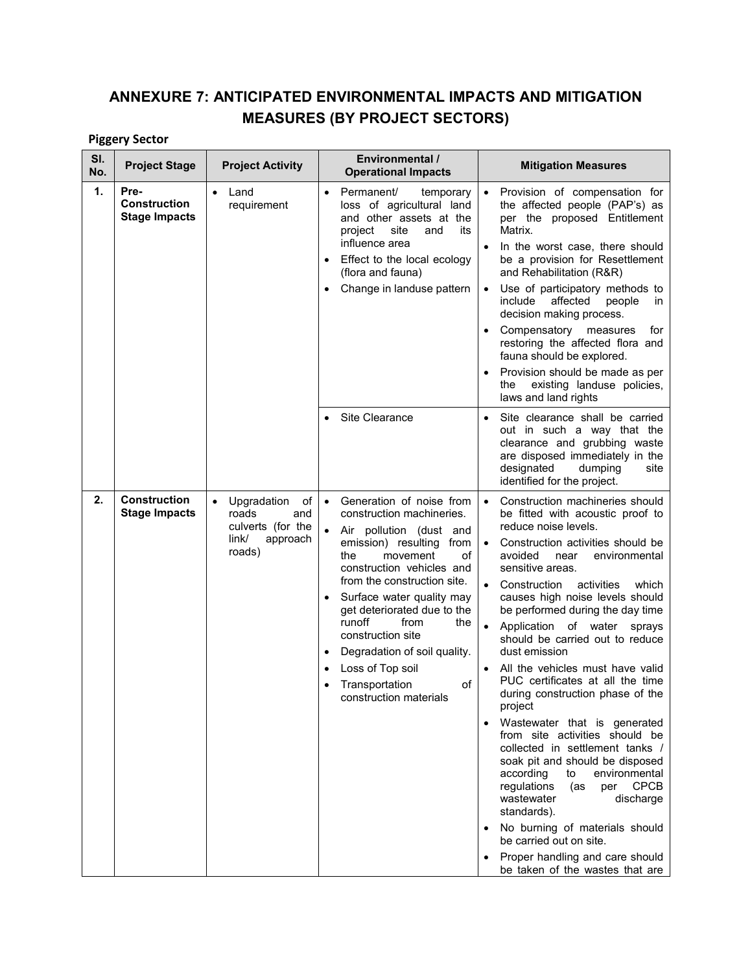## **ANNEXURE 7: ANTICIPATED ENVIRONMENTAL IMPACTS AND MITIGATION MEASURES (BY PROJECT SECTORS)**

### **Piggery Sector**

| SI.<br>No. | <b>Project Stage</b>                                | <b>Project Activity</b>                                                                                                 | Environmental /<br><b>Operational Impacts</b>                                                                                                                                                                                                                                                                                                                                                                                  | <b>Mitigation Measures</b>                                                                                                                                                                                                                                                                                                                                                                                                                                                                                                                                                                                                                                                                                                                                                                                                                                                                                                                         |
|------------|-----------------------------------------------------|-------------------------------------------------------------------------------------------------------------------------|--------------------------------------------------------------------------------------------------------------------------------------------------------------------------------------------------------------------------------------------------------------------------------------------------------------------------------------------------------------------------------------------------------------------------------|----------------------------------------------------------------------------------------------------------------------------------------------------------------------------------------------------------------------------------------------------------------------------------------------------------------------------------------------------------------------------------------------------------------------------------------------------------------------------------------------------------------------------------------------------------------------------------------------------------------------------------------------------------------------------------------------------------------------------------------------------------------------------------------------------------------------------------------------------------------------------------------------------------------------------------------------------|
| 1.         | Pre-<br><b>Construction</b><br><b>Stage Impacts</b> | Land<br>requirement                                                                                                     | Permanent/<br>temporary<br>$\bullet$<br>loss of agricultural land<br>and other assets at the<br>project<br>site<br>and<br>its<br>influence area<br>Effect to the local ecology<br>(flora and fauna)<br>Change in landuse pattern                                                                                                                                                                                               | Provision of compensation for<br>$\bullet$<br>the affected people (PAP's) as<br>per the proposed Entitlement<br>Matrix.<br>In the worst case, there should<br>be a provision for Resettlement<br>and Rehabilitation (R&R)<br>Use of participatory methods to<br>$\bullet$<br>affected<br>include<br>people<br>in.<br>decision making process.<br>Compensatory measures<br>for<br>restoring the affected flora and<br>fauna should be explored.<br>Provision should be made as per<br>existing landuse policies,<br>the<br>laws and land rights                                                                                                                                                                                                                                                                                                                                                                                                     |
|            |                                                     |                                                                                                                         | Site Clearance                                                                                                                                                                                                                                                                                                                                                                                                                 | Site clearance shall be carried<br>$\bullet$<br>out in such a way that the<br>clearance and grubbing waste<br>are disposed immediately in the<br>designated<br>dumping<br>site<br>identified for the project.                                                                                                                                                                                                                                                                                                                                                                                                                                                                                                                                                                                                                                                                                                                                      |
| 2.         | <b>Construction</b><br><b>Stage Impacts</b>         | Upgradation<br>of<br>$\bullet$<br>roads<br>and<br>culverts (for the<br>$\mathsf{link}/\mathsf{ }$<br>approach<br>roads) | Generation of noise from<br>$\bullet$<br>construction machineries.<br>Air pollution (dust and<br>emission) resulting from<br>the<br>movement<br>of<br>construction vehicles and<br>from the construction site.<br>Surface water quality may<br>get deteriorated due to the<br>runoff<br>from<br>the<br>construction site<br>Degradation of soil quality.<br>Loss of Top soil<br>Transportation<br>of<br>construction materials | Construction machineries should<br>$\bullet$<br>be fitted with acoustic proof to<br>reduce noise levels.<br>Construction activities should be<br>avoided<br>environmental<br>near<br>sensitive areas.<br>Construction<br>activities<br>which<br>$\bullet$<br>causes high noise levels should<br>be performed during the day time<br>Application of water sprays<br>should be carried out to reduce<br>dust emission<br>All the vehicles must have valid<br>PUC certificates at all the time<br>during construction phase of the<br>project<br>Wastewater that is generated<br>from site activities should be<br>collected in settlement tanks /<br>soak pit and should be disposed<br>according<br>environmental<br>to<br>regulations<br>per CPCB<br>(as<br>wastewater<br>discharge<br>standards).<br>No burning of materials should<br>$\bullet$<br>be carried out on site.<br>Proper handling and care should<br>be taken of the wastes that are |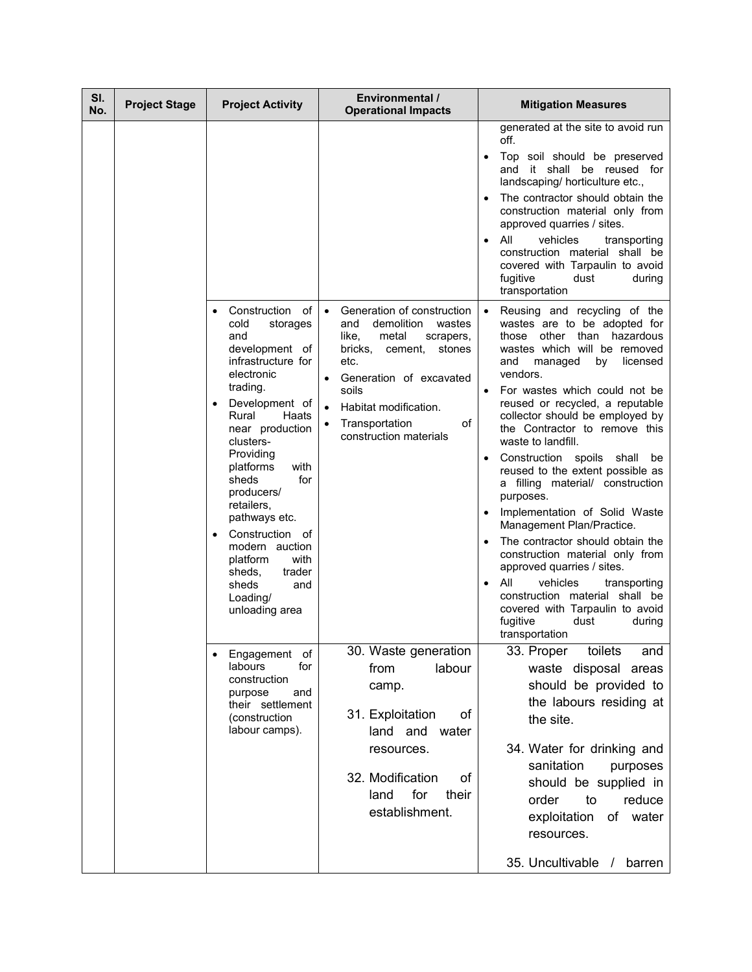| SI.<br>No. | <b>Project Stage</b> | <b>Project Activity</b>                                                                                                                                                                                                                                                                                                                                                                                                    | <b>Environmental /</b><br><b>Operational Impacts</b>                                                                                                                                                                                                                                                | <b>Mitigation Measures</b>                                                                                                                                                                                                                                                                                                                                                                                                                                                                                                                                                                                                                                                                                                                                                                                            |
|------------|----------------------|----------------------------------------------------------------------------------------------------------------------------------------------------------------------------------------------------------------------------------------------------------------------------------------------------------------------------------------------------------------------------------------------------------------------------|-----------------------------------------------------------------------------------------------------------------------------------------------------------------------------------------------------------------------------------------------------------------------------------------------------|-----------------------------------------------------------------------------------------------------------------------------------------------------------------------------------------------------------------------------------------------------------------------------------------------------------------------------------------------------------------------------------------------------------------------------------------------------------------------------------------------------------------------------------------------------------------------------------------------------------------------------------------------------------------------------------------------------------------------------------------------------------------------------------------------------------------------|
|            |                      |                                                                                                                                                                                                                                                                                                                                                                                                                            |                                                                                                                                                                                                                                                                                                     | generated at the site to avoid run<br>off.<br>Top soil should be preserved<br>$\bullet$<br>and it shall be reused for<br>landscaping/ horticulture etc.,<br>The contractor should obtain the<br>construction material only from<br>approved quarries / sites.<br>All<br>vehicles<br>transporting<br>$\bullet$<br>construction material shall be<br>covered with Tarpaulin to avoid<br>fugitive<br>dust<br>during<br>transportation                                                                                                                                                                                                                                                                                                                                                                                    |
|            |                      | Construction<br>of<br>$\bullet$<br>cold<br>storages<br>and<br>development of<br>infrastructure for<br>electronic<br>trading.<br>Development of<br>Rural<br>Haats<br>near production<br>clusters-<br>Providing<br>platforms<br>with<br>sheds<br>for<br>producers/<br>retailers,<br>pathways etc.<br>Construction of<br>modern auction<br>platform<br>with<br>trader<br>sheds,<br>sheds<br>and<br>Loading/<br>unloading area | Generation of construction<br>$\bullet$<br>demolition<br>wastes<br>and<br>like,<br>metal<br>scrapers,<br>bricks,<br>cement,<br>stones<br>etc.<br>Generation of excavated<br>$\bullet$<br>soils<br>Habitat modification.<br>$\bullet$<br>Transportation<br>of<br>$\bullet$<br>construction materials | Reusing and recycling of the<br>wastes are to be adopted for<br>those other than hazardous<br>wastes which will be removed<br>licensed<br>and<br>managed<br>by<br>vendors.<br>For wastes which could not be<br>reused or recycled, a reputable<br>collector should be employed by<br>the Contractor to remove this<br>waste to landfill.<br>Construction spoils shall<br>be<br>$\bullet$<br>reused to the extent possible as<br>a filling material/ construction<br>purposes.<br>Implementation of Solid Waste<br>Management Plan/Practice.<br>The contractor should obtain the<br>construction material only from<br>approved quarries / sites.<br>All<br>vehicles<br>transporting<br>$\bullet$<br>construction material shall be<br>covered with Tarpaulin to avoid<br>fugitive<br>dust<br>during<br>transportation |
|            |                      | Engagement of<br>labours<br>for<br>construction<br>purpose<br>and<br>their settlement<br>(construction<br>labour camps).                                                                                                                                                                                                                                                                                                   | 30. Waste generation<br>labour<br>from<br>camp.<br>31. Exploitation<br>оf<br>land and<br>water<br>resources.<br>32. Modification<br>оf<br>for<br>land<br>their<br>establishment.                                                                                                                    | toilets<br>33. Proper<br>and<br>waste disposal areas<br>should be provided to<br>the labours residing at<br>the site.<br>34. Water for drinking and<br>sanitation<br>purposes<br>should be supplied in<br>reduce<br>order<br>to<br>exploitation<br>of water<br>resources.<br>35. Uncultivable<br>barren                                                                                                                                                                                                                                                                                                                                                                                                                                                                                                               |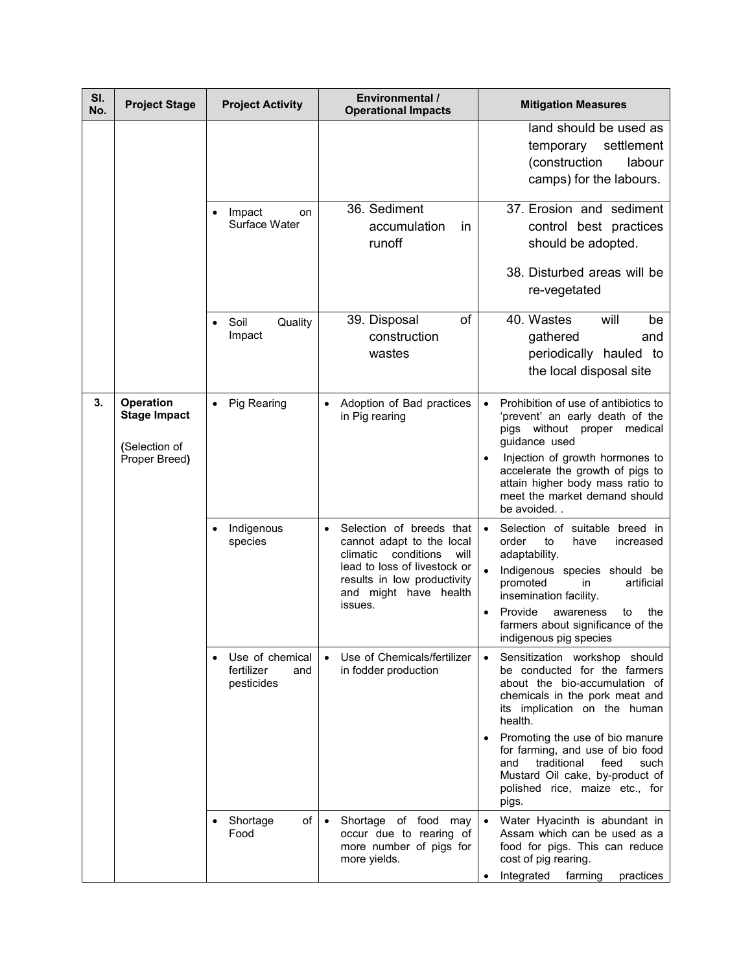| SI.<br>No. | <b>Project Stage</b>                                                      | <b>Project Activity</b>                            | Environmental /<br><b>Operational Impacts</b>                                                                                                                                              | <b>Mitigation Measures</b>                                                                                                                                                                                                                                                                                                                                                                       |
|------------|---------------------------------------------------------------------------|----------------------------------------------------|--------------------------------------------------------------------------------------------------------------------------------------------------------------------------------------------|--------------------------------------------------------------------------------------------------------------------------------------------------------------------------------------------------------------------------------------------------------------------------------------------------------------------------------------------------------------------------------------------------|
|            |                                                                           |                                                    |                                                                                                                                                                                            | land should be used as<br>settlement<br>temporary<br>(construction<br>labour<br>camps) for the labours.                                                                                                                                                                                                                                                                                          |
|            |                                                                           | Impact<br>on<br>Surface Water                      | 36. Sediment<br>accumulation<br>in<br>runoff                                                                                                                                               | 37. Erosion and sediment<br>control best practices<br>should be adopted.<br>38. Disturbed areas will be<br>re-vegetated                                                                                                                                                                                                                                                                          |
|            |                                                                           | Soil<br>Quality<br>Impact                          | of<br>39. Disposal<br>construction<br>wastes                                                                                                                                               | 40. Wastes<br>will<br>be<br>gathered<br>and<br>periodically hauled to<br>the local disposal site                                                                                                                                                                                                                                                                                                 |
| 3.         | <b>Operation</b><br><b>Stage Impact</b><br>(Selection of<br>Proper Breed) | <b>Pig Rearing</b>                                 | Adoption of Bad practices<br>in Pig rearing                                                                                                                                                | Prohibition of use of antibiotics to<br>$\bullet$<br>'prevent' an early death of the<br>pigs without proper medical<br>guidance used<br>Injection of growth hormones to<br>$\bullet$<br>accelerate the growth of pigs to<br>attain higher body mass ratio to<br>meet the market demand should<br>be avoided                                                                                      |
|            |                                                                           | Indigenous<br>species                              | Selection of breeds that<br>cannot adapt to the local<br>climatic<br>conditions<br>will<br>lead to loss of livestock or<br>results in low productivity<br>and might have health<br>issues. | Selection of suitable breed in<br>$\bullet$<br>order<br>to<br>have<br>increased<br>adaptability.<br>Indigenous species should be<br>artificial<br>promoted<br>in<br>insemination facility.<br>Provide<br>the<br>awareness<br>to<br>farmers about significance of the<br>indigenous pig species                                                                                                   |
|            |                                                                           | Use of chemical<br>fertilizer<br>and<br>pesticides | Use of Chemicals/fertilizer<br>in fodder production                                                                                                                                        | Sensitization workshop should<br>$\bullet$<br>be conducted for the farmers<br>about the bio-accumulation of<br>chemicals in the pork meat and<br>its implication on the human<br>health.<br>Promoting the use of bio manure<br>$\bullet$<br>for farming, and use of bio food<br>traditional<br>and<br>feed<br>such<br>Mustard Oil cake, by-product of<br>polished rice, maize etc., for<br>pigs. |
|            |                                                                           | of<br>Shortage<br>Food                             | Shortage of food may<br>$\bullet$<br>occur due to rearing of<br>more number of pigs for<br>more yields.                                                                                    | Water Hyacinth is abundant in<br>Assam which can be used as a<br>food for pigs. This can reduce<br>cost of pig rearing.<br>Integrated<br>farming<br>practices                                                                                                                                                                                                                                    |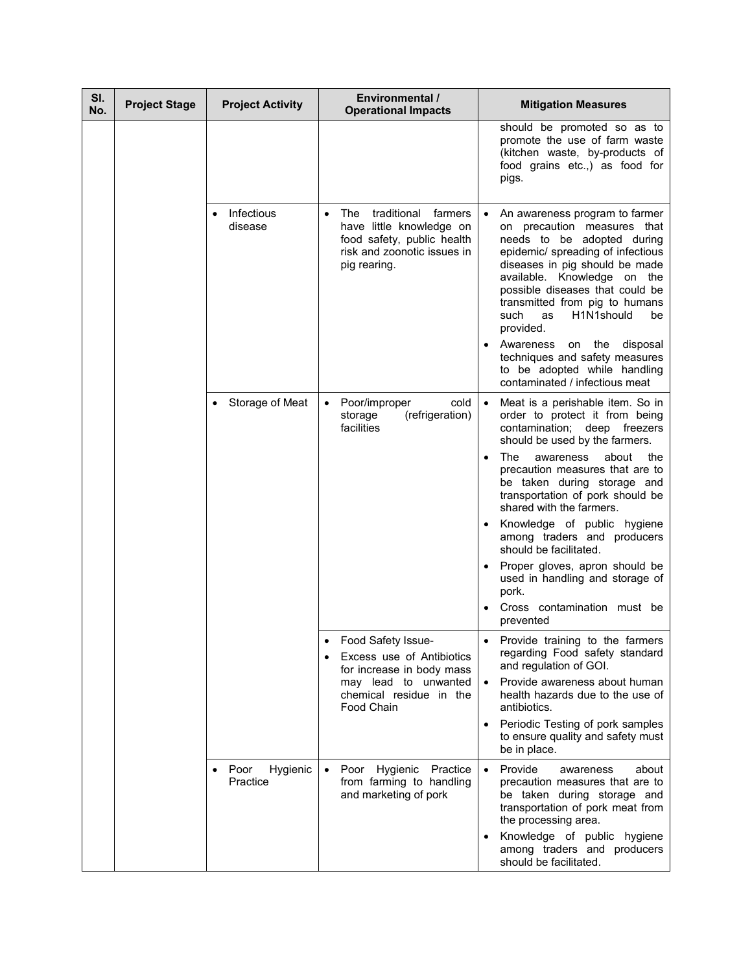| SI.<br>No. | <b>Project Stage</b> | <b>Project Activity</b>      | Environmental /<br><b>Operational Impacts</b>                                                                                          | <b>Mitigation Measures</b>                                                                                                                                                                                                                                                                                            |
|------------|----------------------|------------------------------|----------------------------------------------------------------------------------------------------------------------------------------|-----------------------------------------------------------------------------------------------------------------------------------------------------------------------------------------------------------------------------------------------------------------------------------------------------------------------|
|            |                      |                              |                                                                                                                                        | should be promoted so as to<br>promote the use of farm waste<br>(kitchen waste, by-products of<br>food grains etc.,) as food for<br>pigs.                                                                                                                                                                             |
|            |                      | Infectious<br>disease        | traditional<br>The<br>farmers<br>have little knowledge on<br>food safety, public health<br>risk and zoonotic issues in<br>pig rearing. | An awareness program to farmer<br>on precaution measures that<br>needs to be adopted during<br>epidemic/ spreading of infectious<br>diseases in pig should be made<br>available. Knowledge on the<br>possible diseases that could be<br>transmitted from pig to humans<br>such<br>H1N1should<br>as<br>be<br>provided. |
|            |                      |                              |                                                                                                                                        | Awareness on the disposal<br>techniques and safety measures<br>to be adopted while handling<br>contaminated / infectious meat                                                                                                                                                                                         |
|            |                      | Storage of Meat              | cold<br>Poor/improper<br>(refrigeration)<br>storage<br>facilities                                                                      | Meat is a perishable item. So in<br>order to protect it from being<br>contamination; deep freezers<br>should be used by the farmers.                                                                                                                                                                                  |
|            |                      |                              |                                                                                                                                        | The<br>about<br>the<br>awareness<br>$\bullet$<br>precaution measures that are to<br>be taken during storage and<br>transportation of pork should be<br>shared with the farmers.                                                                                                                                       |
|            |                      |                              |                                                                                                                                        | Knowledge of public hygiene<br>among traders and producers<br>should be facilitated.                                                                                                                                                                                                                                  |
|            |                      |                              |                                                                                                                                        | Proper gloves, apron should be<br>used in handling and storage of<br>pork.                                                                                                                                                                                                                                            |
|            |                      |                              |                                                                                                                                        | Cross contamination must be<br>prevented                                                                                                                                                                                                                                                                              |
|            |                      |                              | Food Safety Issue-<br>Excess use of Antibiotics<br>for increase in body mass                                                           | Provide training to the farmers<br>regarding Food safety standard<br>and regulation of GOI.                                                                                                                                                                                                                           |
|            |                      |                              | may lead to unwanted<br>chemical residue in the<br>Food Chain                                                                          | Provide awareness about human<br>health hazards due to the use of<br>antibiotics.                                                                                                                                                                                                                                     |
|            |                      |                              |                                                                                                                                        | Periodic Testing of pork samples<br>$\bullet$<br>to ensure quality and safety must<br>be in place.                                                                                                                                                                                                                    |
|            |                      | Poor<br>Hygienic<br>Practice | Poor Hygienic Practice<br>$\bullet$<br>from farming to handling<br>and marketing of pork                                               | Provide<br>about<br>$\bullet$<br>awareness<br>precaution measures that are to<br>be taken during storage and<br>transportation of pork meat from<br>the processing area.                                                                                                                                              |
|            |                      |                              |                                                                                                                                        | Knowledge of public hygiene<br>among traders and producers<br>should be facilitated.                                                                                                                                                                                                                                  |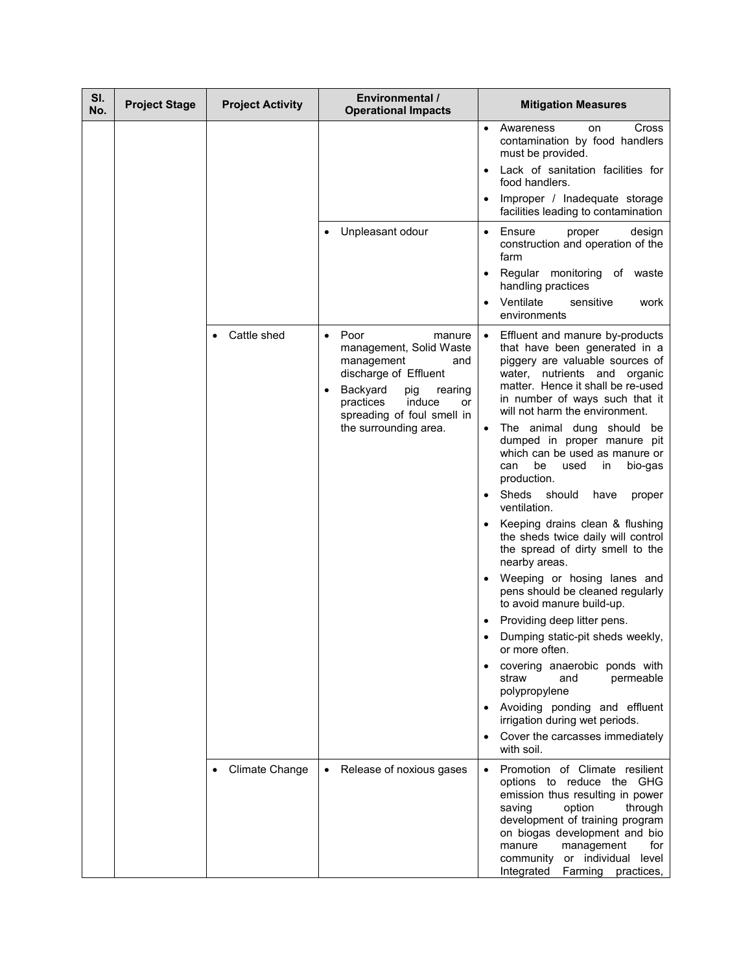| SI.<br>No. | <b>Project Stage</b> | <b>Project Activity</b> | <b>Environmental /</b><br><b>Operational Impacts</b>                                                                                                                                                                   | <b>Mitigation Measures</b>                                                                                                                                                                                                                                                                                                                                                                                                                                                                                                                                                                                                                                                                                                                                                                                                                                                                                                                                                              |
|------------|----------------------|-------------------------|------------------------------------------------------------------------------------------------------------------------------------------------------------------------------------------------------------------------|-----------------------------------------------------------------------------------------------------------------------------------------------------------------------------------------------------------------------------------------------------------------------------------------------------------------------------------------------------------------------------------------------------------------------------------------------------------------------------------------------------------------------------------------------------------------------------------------------------------------------------------------------------------------------------------------------------------------------------------------------------------------------------------------------------------------------------------------------------------------------------------------------------------------------------------------------------------------------------------------|
|            |                      |                         |                                                                                                                                                                                                                        | Awareness<br>Cross<br>$\bullet$<br>on<br>contamination by food handlers<br>must be provided.                                                                                                                                                                                                                                                                                                                                                                                                                                                                                                                                                                                                                                                                                                                                                                                                                                                                                            |
|            |                      |                         |                                                                                                                                                                                                                        | Lack of sanitation facilities for<br>food handlers.                                                                                                                                                                                                                                                                                                                                                                                                                                                                                                                                                                                                                                                                                                                                                                                                                                                                                                                                     |
|            |                      |                         |                                                                                                                                                                                                                        | Improper / Inadequate storage<br>facilities leading to contamination                                                                                                                                                                                                                                                                                                                                                                                                                                                                                                                                                                                                                                                                                                                                                                                                                                                                                                                    |
|            |                      |                         | Unpleasant odour                                                                                                                                                                                                       | Ensure<br>proper<br>design<br>$\bullet$<br>construction and operation of the<br>farm                                                                                                                                                                                                                                                                                                                                                                                                                                                                                                                                                                                                                                                                                                                                                                                                                                                                                                    |
|            |                      |                         |                                                                                                                                                                                                                        | Regular monitoring of waste<br>$\bullet$<br>handling practices                                                                                                                                                                                                                                                                                                                                                                                                                                                                                                                                                                                                                                                                                                                                                                                                                                                                                                                          |
|            |                      |                         |                                                                                                                                                                                                                        | Ventilate<br>sensitive<br>work<br>environments                                                                                                                                                                                                                                                                                                                                                                                                                                                                                                                                                                                                                                                                                                                                                                                                                                                                                                                                          |
|            |                      | Cattle shed             | Poor<br>manure<br>$\bullet$<br>management, Solid Waste<br>management<br>and<br>discharge of Effluent<br>Backyard<br>pig<br>rearing<br>induce<br>practices<br>or<br>spreading of foul smell in<br>the surrounding area. | Effluent and manure by-products<br>that have been generated in a<br>piggery are valuable sources of<br>water, nutrients and organic<br>matter. Hence it shall be re-used<br>in number of ways such that it<br>will not harm the environment.<br>The animal dung should be<br>$\bullet$<br>dumped in proper manure pit<br>which can be used as manure or<br>be<br>used<br>can<br>in<br>bio-gas<br>production.<br>Sheds<br>should<br>have<br>proper<br>ventilation.<br>Keeping drains clean & flushing<br>the sheds twice daily will control<br>the spread of dirty smell to the<br>nearby areas.<br>Weeping or hosing lanes and<br>pens should be cleaned regularly<br>to avoid manure build-up.<br>Providing deep litter pens.<br>Dumping static-pit sheds weekly,<br>or more often.<br>covering anaerobic ponds with<br>straw<br>and<br>permeable<br>polypropylene<br>Avoiding ponding and effluent<br>irrigation during wet periods.<br>Cover the carcasses immediately<br>with soil. |
|            |                      | <b>Climate Change</b>   | Release of noxious gases<br>$\bullet$                                                                                                                                                                                  | Promotion of Climate resilient<br>options to reduce the GHG                                                                                                                                                                                                                                                                                                                                                                                                                                                                                                                                                                                                                                                                                                                                                                                                                                                                                                                             |
|            |                      |                         |                                                                                                                                                                                                                        | emission thus resulting in power<br>saving<br>option<br>through<br>development of training program<br>on biogas development and bio<br>manure<br>management<br>for<br>community or individual<br>level<br>Integrated<br>Farming practices,                                                                                                                                                                                                                                                                                                                                                                                                                                                                                                                                                                                                                                                                                                                                              |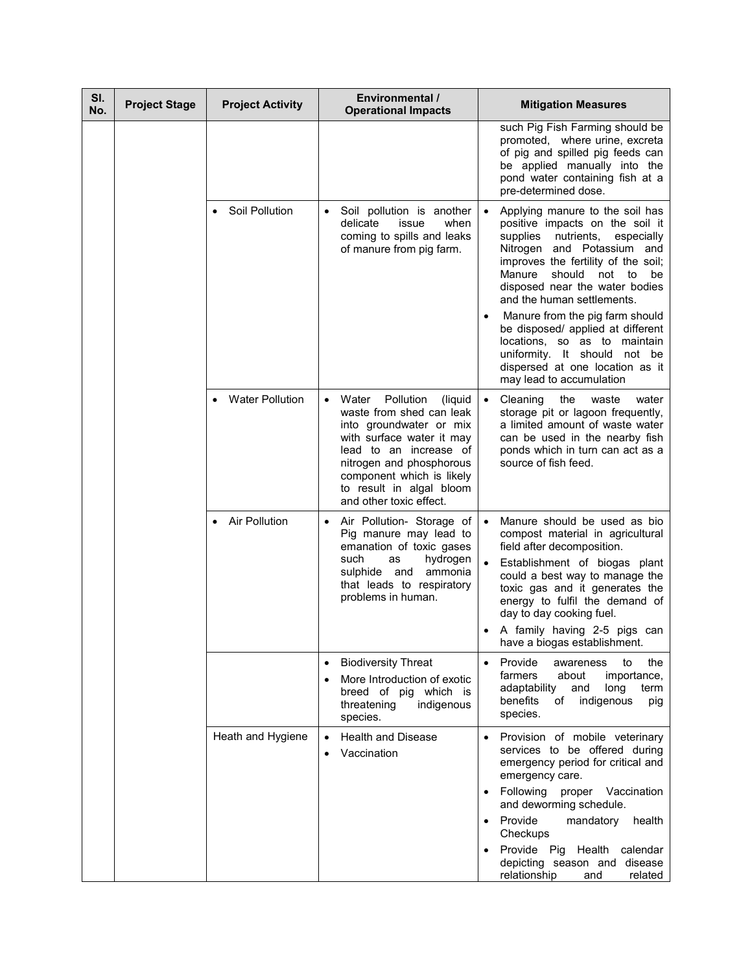| SI.<br>No. | <b>Project Stage</b> | <b>Project Activity</b> | Environmental /<br><b>Operational Impacts</b>                                                                                                                                                                                                                | <b>Mitigation Measures</b>                                                                                                                                                                                                                                                                                                                                                                  |
|------------|----------------------|-------------------------|--------------------------------------------------------------------------------------------------------------------------------------------------------------------------------------------------------------------------------------------------------------|---------------------------------------------------------------------------------------------------------------------------------------------------------------------------------------------------------------------------------------------------------------------------------------------------------------------------------------------------------------------------------------------|
|            |                      |                         |                                                                                                                                                                                                                                                              | such Pig Fish Farming should be<br>promoted, where urine, excreta<br>of pig and spilled pig feeds can<br>be applied manually into the<br>pond water containing fish at a<br>pre-determined dose.                                                                                                                                                                                            |
|            |                      | Soil Pollution          | Soil pollution is another<br>$\bullet$<br>delicate<br>issue<br>when<br>coming to spills and leaks<br>of manure from pig farm.                                                                                                                                | Applying manure to the soil has<br>$\bullet$<br>positive impacts on the soil it<br>supplies<br>nutrients,<br>especially<br>Nitrogen and Potassium and<br>improves the fertility of the soil;<br>Manure<br>should<br>not to<br>be<br>disposed near the water bodies<br>and the human settlements.<br>Manure from the pig farm should                                                         |
|            |                      |                         |                                                                                                                                                                                                                                                              | be disposed/ applied at different<br>locations, so as to maintain<br>uniformity. It should not be<br>dispersed at one location as it<br>may lead to accumulation                                                                                                                                                                                                                            |
|            |                      | <b>Water Pollution</b>  | Pollution<br>Water<br>(liquid)<br>waste from shed can leak<br>into groundwater or mix<br>with surface water it may<br>lead to an increase of<br>nitrogen and phosphorous<br>component which is likely<br>to result in algal bloom<br>and other toxic effect. | Cleaning<br>the<br>waste<br>water<br>$\bullet$<br>storage pit or lagoon frequently,<br>a limited amount of waste water<br>can be used in the nearby fish<br>ponds which in turn can act as a<br>source of fish feed.                                                                                                                                                                        |
|            |                      | <b>Air Pollution</b>    | Air Pollution- Storage of<br>Pig manure may lead to<br>emanation of toxic gases<br>hydrogen<br>such<br>as<br>ammonia<br>sulphide and<br>that leads to respiratory<br>problems in human.                                                                      | Manure should be used as bio<br>$\bullet$<br>compost material in agricultural<br>field after decomposition.<br>Establishment of biogas plant<br>could a best way to manage the<br>toxic gas and it generates the<br>energy to fulfil the demand of<br>day to day cooking fuel.<br>A family having 2-5 pigs can<br>have a biogas establishment.                                              |
|            |                      |                         | <b>Biodiversity Threat</b><br>$\bullet$<br>More Introduction of exotic<br>breed of pig which is<br>threatening<br>indigenous<br>species.                                                                                                                     | Provide<br>to<br>the<br>awareness<br>farmers<br>about<br>importance,<br>adaptability<br>and<br>long<br>term<br>benefits<br>indigenous<br>оf<br>pig<br>species.                                                                                                                                                                                                                              |
|            |                      | Heath and Hygiene       | <b>Health and Disease</b><br>Vaccination                                                                                                                                                                                                                     | Provision of mobile veterinary<br>$\bullet$<br>services to be offered during<br>emergency period for critical and<br>emergency care.<br>Following proper<br>Vaccination<br>$\bullet$<br>and deworming schedule.<br>Provide<br>mandatory<br>health<br>$\bullet$<br>Checkups<br>Provide Pig Health<br>calendar<br>$\bullet$<br>depicting season and disease<br>relationship<br>and<br>related |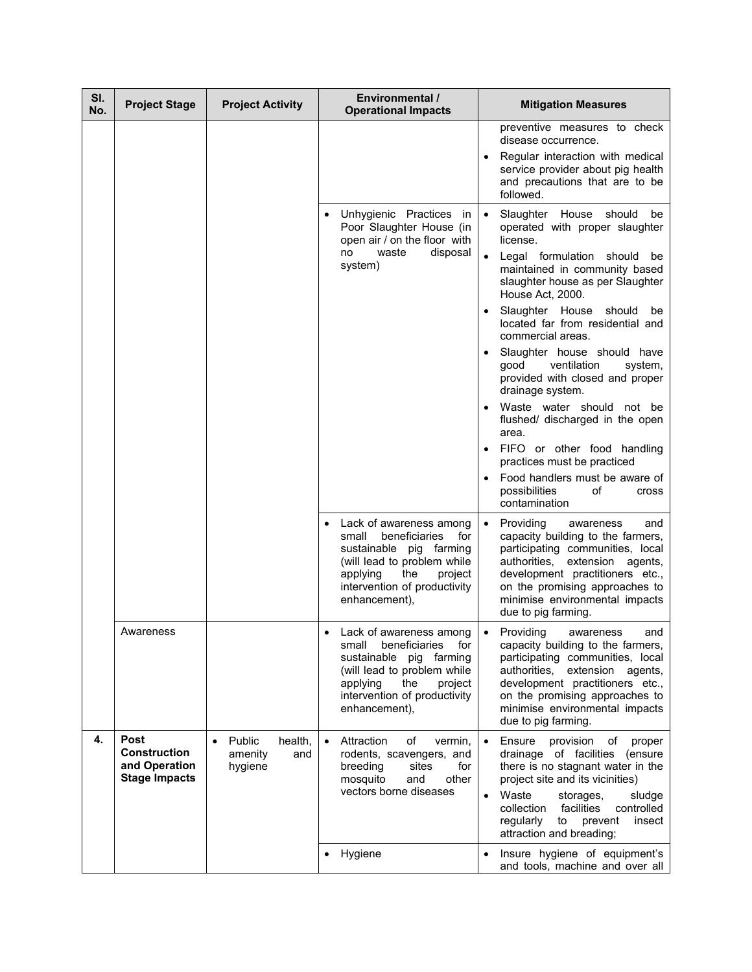| SI.<br>No. | <b>Project Stage</b>                                                        | <b>Project Activity</b>                        | <b>Environmental /</b><br><b>Operational Impacts</b>                                                                                                                                                 | <b>Mitigation Measures</b>                                                                                                                                                                                                                                                                                                                                                                                                                                                                                                                                                                         |
|------------|-----------------------------------------------------------------------------|------------------------------------------------|------------------------------------------------------------------------------------------------------------------------------------------------------------------------------------------------------|----------------------------------------------------------------------------------------------------------------------------------------------------------------------------------------------------------------------------------------------------------------------------------------------------------------------------------------------------------------------------------------------------------------------------------------------------------------------------------------------------------------------------------------------------------------------------------------------------|
|            |                                                                             |                                                |                                                                                                                                                                                                      | preventive measures to check<br>disease occurrence.<br>Regular interaction with medical<br>service provider about pig health<br>and precautions that are to be<br>followed.                                                                                                                                                                                                                                                                                                                                                                                                                        |
|            |                                                                             |                                                | Unhygienic Practices<br>in<br>Poor Slaughter House (in<br>open air / on the floor with<br>waste<br>disposal<br>no<br>system)                                                                         | Slaughter House should<br>be<br>operated with proper slaughter<br>license.<br>Legal formulation should<br>be<br>maintained in community based<br>slaughter house as per Slaughter<br>House Act, 2000.<br>Slaughter House<br>should<br>be<br>located far from residential and<br>commercial areas.<br>Slaughter house should have<br>ventilation<br>good<br>system,<br>provided with closed and proper<br>drainage system.<br>Waste water should not be<br>flushed/ discharged in the open<br>area.<br>FIFO or other food handling<br>practices must be practiced<br>Food handlers must be aware of |
|            |                                                                             |                                                | Lack of awareness among<br>small<br>beneficiaries<br>for<br>sustainable pig farming<br>(will lead to problem while<br>the<br>project<br>applying<br>intervention of productivity<br>enhancement),    | possibilities<br>οf<br>cross<br>contamination<br>Providing<br>$\bullet$<br>awareness<br>and<br>capacity building to the farmers,<br>participating communities, local<br>authorities,<br>extension<br>agents,<br>development practitioners etc.,<br>on the promising approaches to<br>minimise environmental impacts<br>due to pig farming.                                                                                                                                                                                                                                                         |
|            | Awareness                                                                   |                                                | Lack of awareness among<br>beneficiaries<br>for<br>small<br>sustainable<br>pig farming<br>(will lead to problem while<br>the<br>project<br>applying<br>intervention of productivity<br>enhancement), | Providina<br>and<br>awareness<br>$\bullet$<br>capacity building to the farmers,<br>participating communities, local<br>authorities,<br>extension<br>agents,<br>development practitioners etc.,<br>on the promising approaches to<br>minimise environmental impacts<br>due to pig farming.                                                                                                                                                                                                                                                                                                          |
| 4.         | <b>Post</b><br><b>Construction</b><br>and Operation<br><b>Stage Impacts</b> | Public<br>health,<br>amenity<br>and<br>hygiene | Attraction<br>of<br>vermin,<br>rodents, scavengers, and<br>breeding<br>sites<br>for<br>other<br>mosquito<br>and<br>vectors borne diseases                                                            | Ensure<br>provision<br>of<br>proper<br>drainage of facilities<br>(ensure<br>there is no stagnant water in the<br>project site and its vicinities)<br>Waste<br>storages,<br>sludge<br>$\bullet$<br>facilities<br>controlled<br>collection<br>regularly<br>to<br>prevent<br>insect<br>attraction and breading;                                                                                                                                                                                                                                                                                       |
|            |                                                                             |                                                | Hygiene                                                                                                                                                                                              | Insure hygiene of equipment's<br>and tools, machine and over all                                                                                                                                                                                                                                                                                                                                                                                                                                                                                                                                   |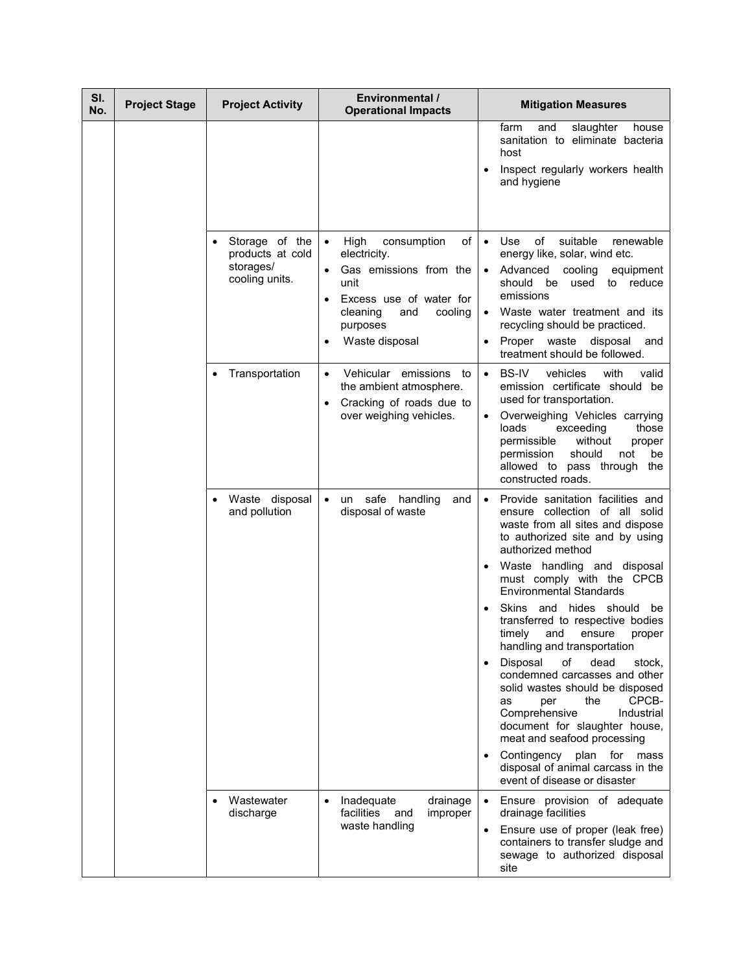| SI.<br>No. | <b>Project Stage</b> | <b>Project Activity</b>                                           | <b>Environmental /</b><br><b>Operational Impacts</b>                                                                                                                            | <b>Mitigation Measures</b>                                                                                                                                                                                                                                                                                                        |
|------------|----------------------|-------------------------------------------------------------------|---------------------------------------------------------------------------------------------------------------------------------------------------------------------------------|-----------------------------------------------------------------------------------------------------------------------------------------------------------------------------------------------------------------------------------------------------------------------------------------------------------------------------------|
|            |                      |                                                                   |                                                                                                                                                                                 | farm<br>slaughter<br>and<br>house<br>sanitation to eliminate bacteria<br>host<br>Inspect regularly workers health<br>and hygiene                                                                                                                                                                                                  |
|            |                      | Storage of the<br>products at cold<br>storages/<br>cooling units. | High<br>of<br>consumption<br>$\bullet$<br>electricity.<br>Gas emissions from the<br>unit<br>Excess use of water for<br>cooling<br>cleaning<br>and<br>purposes<br>Waste disposal | of<br>suitable<br>Use<br>renewable<br>$\bullet$<br>energy like, solar, wind etc.<br>Advanced<br>cooling<br>equipment<br>should be used<br>to reduce<br>emissions<br>Waste water treatment and its<br>$\bullet$<br>recycling should be practiced.<br>disposal<br>Proper waste<br>and<br>$\bullet$<br>treatment should be followed. |
|            |                      | Transportation                                                    | Vehicular emissions to<br>the ambient atmosphere.<br>Cracking of roads due to<br>over weighing vehicles.                                                                        | BS-IV<br>vehicles<br>with<br>valid<br>$\bullet$<br>emission certificate should be<br>used for transportation.<br>Overweighing Vehicles carrying<br>loads<br>exceeding<br>those<br>without<br>permissible<br>proper<br>should<br>permission<br>not<br>be<br>allowed to pass through the<br>constructed roads.                      |
|            |                      | Waste disposal<br>and pollution                                   | handling<br>un safe<br>and<br>disposal of waste                                                                                                                                 | Provide sanitation facilities and<br>$\bullet$<br>ensure collection of all solid<br>waste from all sites and dispose<br>to authorized site and by using<br>authorized method<br>Waste handling and disposal<br>must comply with the CPCB                                                                                          |
|            |                      |                                                                   |                                                                                                                                                                                 | <b>Environmental Standards</b><br>Skins and hides should<br>be<br>transferred to respective bodies<br>timely<br>and<br>ensure<br>proper<br>handling and transportation                                                                                                                                                            |
|            |                      |                                                                   |                                                                                                                                                                                 | dead<br>Disposal<br>of<br>stock.<br>$\bullet$<br>condemned carcasses and other<br>solid wastes should be disposed<br>CPCB-<br>the<br>as<br>per<br>Comprehensive<br>Industrial<br>document for slaughter house,<br>meat and seafood processing<br>Contingency plan for<br>mass<br>$\bullet$<br>disposal of animal carcass in the   |
|            |                      | Wastewater                                                        | Inadequate<br>drainage                                                                                                                                                          | event of disease or disaster<br>Ensure provision of adequate                                                                                                                                                                                                                                                                      |
|            |                      | discharge                                                         | facilities<br>and<br>improper<br>waste handling                                                                                                                                 | drainage facilities<br>Ensure use of proper (leak free)<br>containers to transfer sludge and<br>sewage to authorized disposal<br>site                                                                                                                                                                                             |